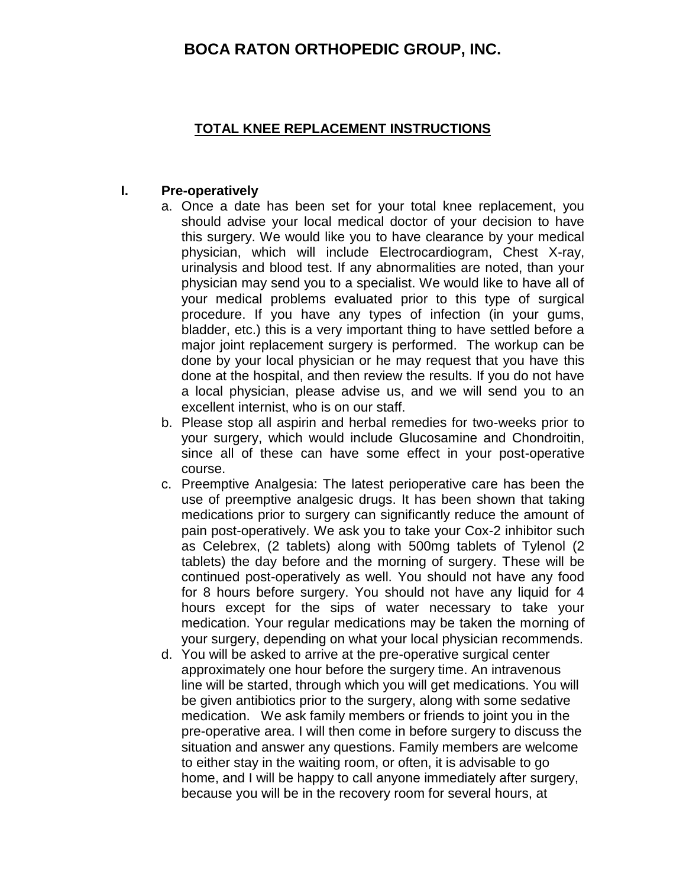#### **TOTAL KNEE REPLACEMENT INSTRUCTIONS**

#### **I. Pre-operatively**

- a. Once a date has been set for your total knee replacement, you should advise your local medical doctor of your decision to have this surgery. We would like you to have clearance by your medical physician, which will include Electrocardiogram, Chest X-ray, urinalysis and blood test. If any abnormalities are noted, than your physician may send you to a specialist. We would like to have all of your medical problems evaluated prior to this type of surgical procedure. If you have any types of infection (in your gums, bladder, etc.) this is a very important thing to have settled before a major joint replacement surgery is performed. The workup can be done by your local physician or he may request that you have this done at the hospital, and then review the results. If you do not have a local physician, please advise us, and we will send you to an excellent internist, who is on our staff.
- b. Please stop all aspirin and herbal remedies for two-weeks prior to your surgery, which would include Glucosamine and Chondroitin, since all of these can have some effect in your post-operative course.
- c. Preemptive Analgesia: The latest perioperative care has been the use of preemptive analgesic drugs. It has been shown that taking medications prior to surgery can significantly reduce the amount of pain post-operatively. We ask you to take your Cox-2 inhibitor such as Celebrex, (2 tablets) along with 500mg tablets of Tylenol (2 tablets) the day before and the morning of surgery. These will be continued post-operatively as well. You should not have any food for 8 hours before surgery. You should not have any liquid for 4 hours except for the sips of water necessary to take your medication. Your regular medications may be taken the morning of your surgery, depending on what your local physician recommends.
- d. You will be asked to arrive at the pre-operative surgical center approximately one hour before the surgery time. An intravenous line will be started, through which you will get medications. You will be given antibiotics prior to the surgery, along with some sedative medication. We ask family members or friends to joint you in the pre-operative area. I will then come in before surgery to discuss the situation and answer any questions. Family members are welcome to either stay in the waiting room, or often, it is advisable to go home, and I will be happy to call anyone immediately after surgery, because you will be in the recovery room for several hours, at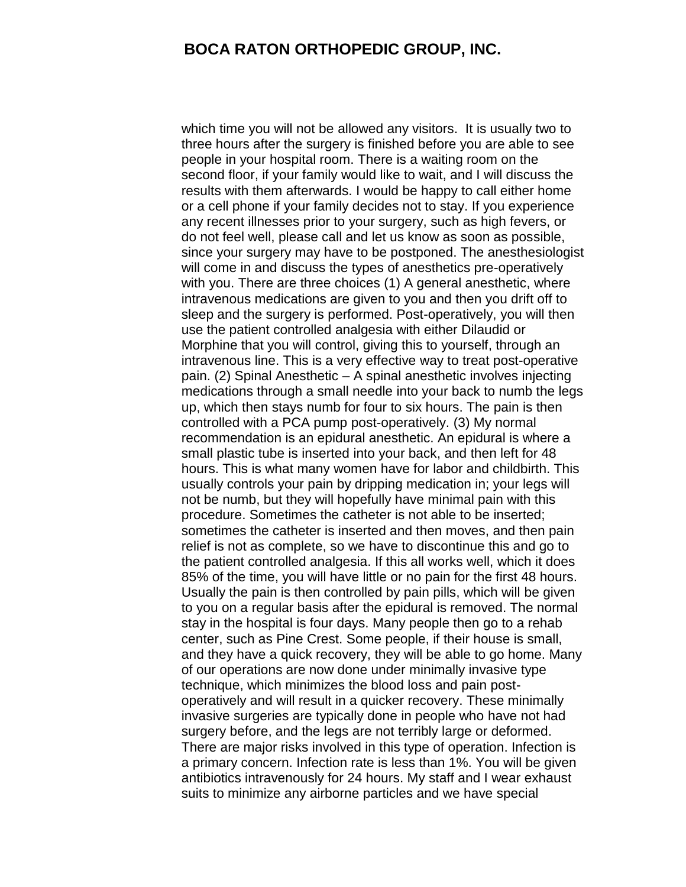which time you will not be allowed any visitors. It is usually two to three hours after the surgery is finished before you are able to see people in your hospital room. There is a waiting room on the second floor, if your family would like to wait, and I will discuss the results with them afterwards. I would be happy to call either home or a cell phone if your family decides not to stay. If you experience any recent illnesses prior to your surgery, such as high fevers, or do not feel well, please call and let us know as soon as possible, since your surgery may have to be postponed. The anesthesiologist will come in and discuss the types of anesthetics pre-operatively with you. There are three choices (1) A general anesthetic, where intravenous medications are given to you and then you drift off to sleep and the surgery is performed. Post-operatively, you will then use the patient controlled analgesia with either Dilaudid or Morphine that you will control, giving this to yourself, through an intravenous line. This is a very effective way to treat post-operative pain. (2) Spinal Anesthetic – A spinal anesthetic involves injecting medications through a small needle into your back to numb the legs up, which then stays numb for four to six hours. The pain is then controlled with a PCA pump post-operatively. (3) My normal recommendation is an epidural anesthetic. An epidural is where a small plastic tube is inserted into your back, and then left for 48 hours. This is what many women have for labor and childbirth. This usually controls your pain by dripping medication in; your legs will not be numb, but they will hopefully have minimal pain with this procedure. Sometimes the catheter is not able to be inserted; sometimes the catheter is inserted and then moves, and then pain relief is not as complete, so we have to discontinue this and go to the patient controlled analgesia. If this all works well, which it does 85% of the time, you will have little or no pain for the first 48 hours. Usually the pain is then controlled by pain pills, which will be given to you on a regular basis after the epidural is removed. The normal stay in the hospital is four days. Many people then go to a rehab center, such as Pine Crest. Some people, if their house is small, and they have a quick recovery, they will be able to go home. Many of our operations are now done under minimally invasive type technique, which minimizes the blood loss and pain postoperatively and will result in a quicker recovery. These minimally invasive surgeries are typically done in people who have not had surgery before, and the legs are not terribly large or deformed. There are major risks involved in this type of operation. Infection is a primary concern. Infection rate is less than 1%. You will be given antibiotics intravenously for 24 hours. My staff and I wear exhaust suits to minimize any airborne particles and we have special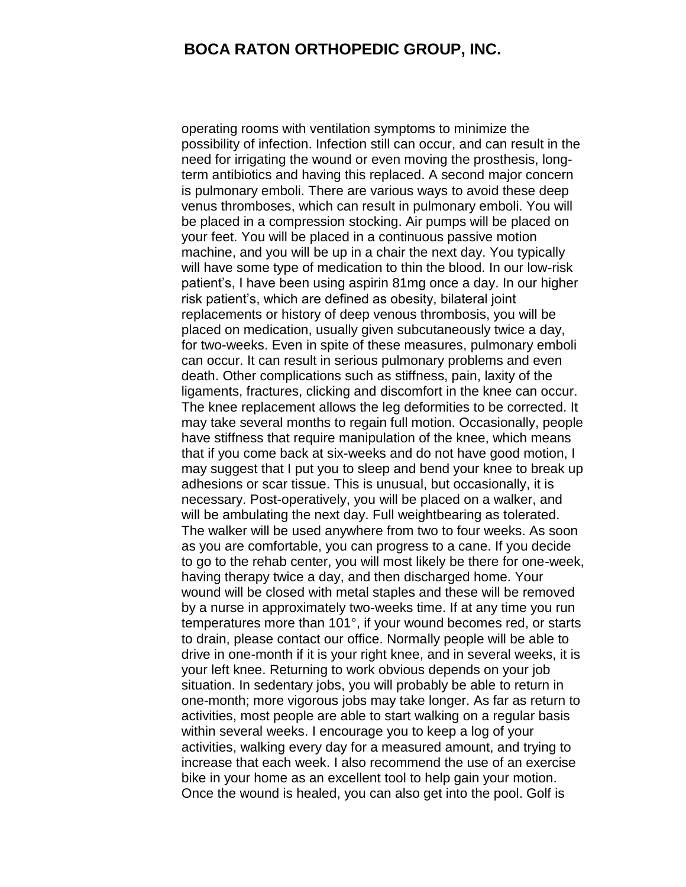operating rooms with ventilation symptoms to minimize the possibility of infection. Infection still can occur, and can result in the need for irrigating the wound or even moving the prosthesis, longterm antibiotics and having this replaced. A second major concern is pulmonary emboli. There are various ways to avoid these deep venus thromboses, which can result in pulmonary emboli. You will be placed in a compression stocking. Air pumps will be placed on your feet. You will be placed in a continuous passive motion machine, and you will be up in a chair the next day. You typically will have some type of medication to thin the blood. In our low-risk patient's, I have been using aspirin 81mg once a day. In our higher risk patient's, which are defined as obesity, bilateral joint replacements or history of deep venous thrombosis, you will be placed on medication, usually given subcutaneously twice a day, for two-weeks. Even in spite of these measures, pulmonary emboli can occur. It can result in serious pulmonary problems and even death. Other complications such as stiffness, pain, laxity of the ligaments, fractures, clicking and discomfort in the knee can occur. The knee replacement allows the leg deformities to be corrected. It may take several months to regain full motion. Occasionally, people have stiffness that require manipulation of the knee, which means that if you come back at six-weeks and do not have good motion, I may suggest that I put you to sleep and bend your knee to break up adhesions or scar tissue. This is unusual, but occasionally, it is necessary. Post-operatively, you will be placed on a walker, and will be ambulating the next day. Full weightbearing as tolerated. The walker will be used anywhere from two to four weeks. As soon as you are comfortable, you can progress to a cane. If you decide to go to the rehab center, you will most likely be there for one-week, having therapy twice a day, and then discharged home. Your wound will be closed with metal staples and these will be removed by a nurse in approximately two-weeks time. If at any time you run temperatures more than 101°, if your wound becomes red, or starts to drain, please contact our office. Normally people will be able to drive in one-month if it is your right knee, and in several weeks, it is your left knee. Returning to work obvious depends on your job situation. In sedentary jobs, you will probably be able to return in one-month; more vigorous jobs may take longer. As far as return to activities, most people are able to start walking on a regular basis within several weeks. I encourage you to keep a log of your activities, walking every day for a measured amount, and trying to increase that each week. I also recommend the use of an exercise bike in your home as an excellent tool to help gain your motion. Once the wound is healed, you can also get into the pool. Golf is